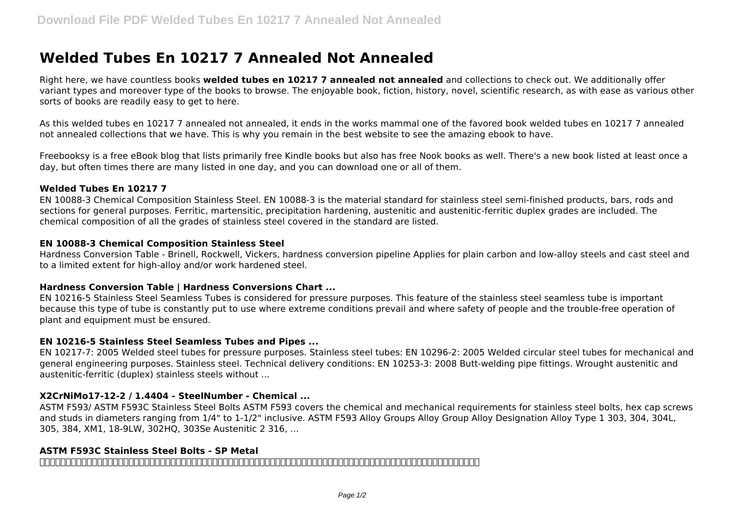# **Welded Tubes En 10217 7 Annealed Not Annealed**

Right here, we have countless books **welded tubes en 10217 7 annealed not annealed** and collections to check out. We additionally offer variant types and moreover type of the books to browse. The enjoyable book, fiction, history, novel, scientific research, as with ease as various other sorts of books are readily easy to get to here.

As this welded tubes en 10217 7 annealed not annealed, it ends in the works mammal one of the favored book welded tubes en 10217 7 annealed not annealed collections that we have. This is why you remain in the best website to see the amazing ebook to have.

Freebooksy is a free eBook blog that lists primarily free Kindle books but also has free Nook books as well. There's a new book listed at least once a day, but often times there are many listed in one day, and you can download one or all of them.

### **Welded Tubes En 10217 7**

EN 10088-3 Chemical Composition Stainless Steel. EN 10088-3 is the material standard for stainless steel semi-finished products, bars, rods and sections for general purposes. Ferritic, martensitic, precipitation hardening, austenitic and austenitic-ferritic duplex grades are included. The chemical composition of all the grades of stainless steel covered in the standard are listed.

### **EN 10088-3 Chemical Composition Stainless Steel**

Hardness Conversion Table - Brinell, Rockwell, Vickers, hardness conversion pipeline Applies for plain carbon and low-alloy steels and cast steel and to a limited extent for high-alloy and/or work hardened steel.

### **Hardness Conversion Table | Hardness Conversions Chart ...**

EN 10216-5 Stainless Steel Seamless Tubes is considered for pressure purposes. This feature of the stainless steel seamless tube is important because this type of tube is constantly put to use where extreme conditions prevail and where safety of people and the trouble-free operation of plant and equipment must be ensured.

### **EN 10216-5 Stainless Steel Seamless Tubes and Pipes ...**

EN 10217-7: 2005 Welded steel tubes for pressure purposes. Stainless steel tubes: EN 10296-2: 2005 Welded circular steel tubes for mechanical and general engineering purposes. Stainless steel. Technical delivery conditions: EN 10253-3: 2008 Butt-welding pipe fittings. Wrought austenitic and austenitic-ferritic (duplex) stainless steels without ...

## **X2CrNiMo17-12-2 / 1.4404 - SteelNumber - Chemical ...**

ASTM F593/ ASTM F593C Stainless Steel Bolts ASTM F593 covers the chemical and mechanical requirements for stainless steel bolts, hex cap screws and studs in diameters ranging from 1/4" to 1-1/2" inclusive. ASTM F593 Alloy Groups Alloy Group Alloy Designation Alloy Type 1 303, 304, 304L, 305, 384, XM1, 18-9LW, 302HQ, 303Se Austenitic 2 316, …

### **ASTM F593C Stainless Steel Bolts - SP Metal**

the home the control the the three maginary that the three maginary three maginary three maginary three magina